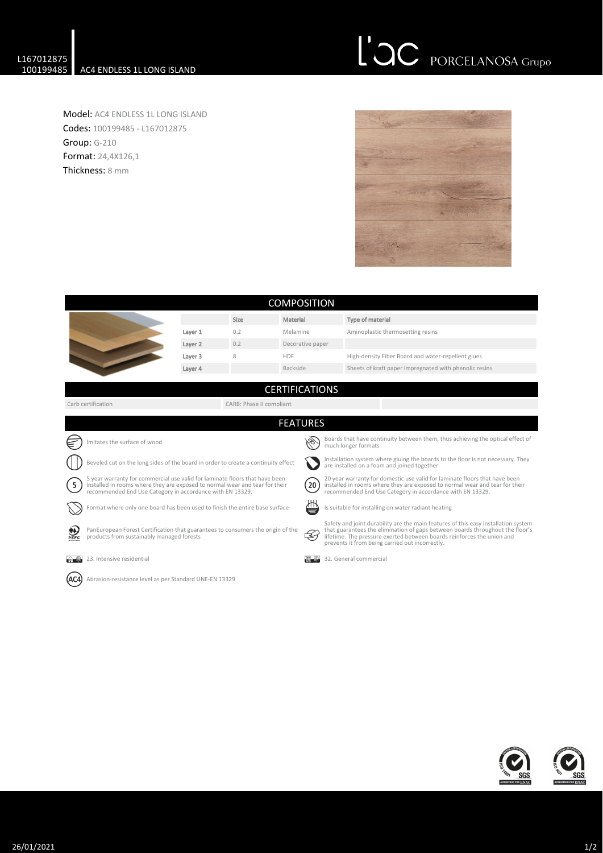## L'OC PORCELANOSA Grupo

Model: AC4 ENDLESS 1L LONG ISLAND Codes: 100199485 - L167012875 Group: G-210 Format: 24,4X126,1 Thickness: 8 mm



| <b>COMPOSITION</b>                                                                |                                                                                                                                                                                                                         |         |      |                       |                                                                                                                                                                                                                              |                                                                                                                                                                                                                                                                                                  |  |  |  |
|-----------------------------------------------------------------------------------|-------------------------------------------------------------------------------------------------------------------------------------------------------------------------------------------------------------------------|---------|------|-----------------------|------------------------------------------------------------------------------------------------------------------------------------------------------------------------------------------------------------------------------|--------------------------------------------------------------------------------------------------------------------------------------------------------------------------------------------------------------------------------------------------------------------------------------------------|--|--|--|
|                                                                                   |                                                                                                                                                                                                                         |         | Size | Material              |                                                                                                                                                                                                                              | Type of material                                                                                                                                                                                                                                                                                 |  |  |  |
|                                                                                   |                                                                                                                                                                                                                         | Layer 1 | 0.2  | Melamine              |                                                                                                                                                                                                                              | Aminoplastic thermosetting resins                                                                                                                                                                                                                                                                |  |  |  |
|                                                                                   |                                                                                                                                                                                                                         | Layer 2 | 0.2  | Decorative paper      |                                                                                                                                                                                                                              |                                                                                                                                                                                                                                                                                                  |  |  |  |
|                                                                                   |                                                                                                                                                                                                                         | Layer 3 | 8    | <b>HDF</b>            |                                                                                                                                                                                                                              | High-density Fiber Board and water-repellent glues                                                                                                                                                                                                                                               |  |  |  |
|                                                                                   |                                                                                                                                                                                                                         | Layer 4 |      | Backside              |                                                                                                                                                                                                                              | Sheets of kraft paper impregnated with phenolic resins                                                                                                                                                                                                                                           |  |  |  |
|                                                                                   |                                                                                                                                                                                                                         |         |      | <b>CERTIFICATIONS</b> |                                                                                                                                                                                                                              |                                                                                                                                                                                                                                                                                                  |  |  |  |
|                                                                                   | Carb certification<br>CARB: Phase II compliant                                                                                                                                                                          |         |      |                       |                                                                                                                                                                                                                              |                                                                                                                                                                                                                                                                                                  |  |  |  |
| <b>FEATURES</b>                                                                   |                                                                                                                                                                                                                         |         |      |                       |                                                                                                                                                                                                                              |                                                                                                                                                                                                                                                                                                  |  |  |  |
|                                                                                   | mitates the surface of wood                                                                                                                                                                                             |         |      |                       |                                                                                                                                                                                                                              | Boards that have continuity between them, thus achieving the optical effect of<br>much longer formats                                                                                                                                                                                            |  |  |  |
| Beveled cut on the long sides of the board in order to create a continuity effect |                                                                                                                                                                                                                         |         |      |                       | Installation system where gluing the boards to the floor is not necessary. They<br>are installed on a foam and joined together                                                                                               |                                                                                                                                                                                                                                                                                                  |  |  |  |
| $5^{\circ}$                                                                       | 5 year warranty for commercial use valid for laminate floors that have been<br>installed in rooms where they are exposed to normal wear and tear for their<br>recommended End Use Category in accordance with EN 13329. |         |      |                       | 20 year warranty for domestic use valid for laminate floors that have been<br>20<br>installed in rooms where they are exposed to normal wear and tear for their<br>recommended End Use Category in accordance with EN 13329. |                                                                                                                                                                                                                                                                                                  |  |  |  |
|                                                                                   | Format where only one board has been used to finish the entire base surface                                                                                                                                             |         |      | ₩                     | Is suitable for installing on water radiant heating                                                                                                                                                                          |                                                                                                                                                                                                                                                                                                  |  |  |  |
| PEFC                                                                              | PanEuropean Forest Certification that guarantees to consumers the origin of the<br>products from sustainably managed forests                                                                                            |         |      | Z                     |                                                                                                                                                                                                                              | Safety and joint durability are the main features of this easy installation system<br>that guarantees the elimination of gaps between boards throughout the floor's<br>lifetime. The pressure exerted between boards reinforces the union and<br>prevents it from being carried out incorrectly. |  |  |  |
| <b>The Mode</b>                                                                   | 23. Intensive residential                                                                                                                                                                                               |         |      |                       |                                                                                                                                                                                                                              | 32. General commercial                                                                                                                                                                                                                                                                           |  |  |  |
|                                                                                   | Abrasion-resistance level as per Standard UNE-EN 13329                                                                                                                                                                  |         |      |                       |                                                                                                                                                                                                                              |                                                                                                                                                                                                                                                                                                  |  |  |  |